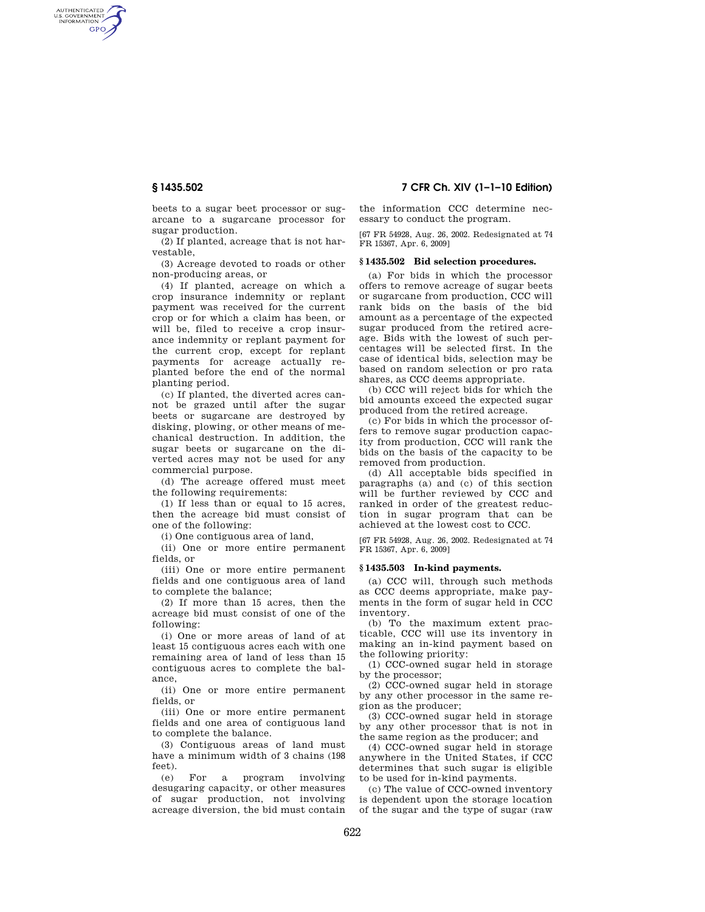AUTHENTICATED<br>U.S. GOVERNMENT<br>INFORMATION **GPO** 

> beets to a sugar beet processor or sugarcane to a sugarcane processor for sugar production.

> (2) If planted, acreage that is not harvestable,

> (3) Acreage devoted to roads or other non-producing areas, or

> (4) If planted, acreage on which a crop insurance indemnity or replant payment was received for the current crop or for which a claim has been, or will be, filed to receive a crop insurance indemnity or replant payment for the current crop, except for replant payments for acreage actually replanted before the end of the normal planting period.

> (c) If planted, the diverted acres cannot be grazed until after the sugar beets or sugarcane are destroyed by disking, plowing, or other means of mechanical destruction. In addition, the sugar beets or sugarcane on the diverted acres may not be used for any commercial purpose.

(d) The acreage offered must meet the following requirements:

(1) If less than or equal to 15 acres, then the acreage bid must consist of one of the following:

(i) One contiguous area of land,

(ii) One or more entire permanent fields, or

(iii) One or more entire permanent fields and one contiguous area of land to complete the balance;

(2) If more than 15 acres, then the acreage bid must consist of one of the following:

(i) One or more areas of land of at least 15 contiguous acres each with one remaining area of land of less than 15 contiguous acres to complete the balance,

(ii) One or more entire permanent fields, or

(iii) One or more entire permanent fields and one area of contiguous land to complete the balance.

(3) Contiguous areas of land must have a minimum width of 3 chains (198 feet).

(e) For a program involving desugaring capacity, or other measures of sugar production, not involving acreage diversion, the bid must contain

**§ 1435.502 7 CFR Ch. XIV (1–1–10 Edition)** 

the information CCC determine necessary to conduct the program.

[67 FR 54928, Aug. 26, 2002. Redesignated at 74 FR 15367, Apr. 6, 2009]

# **§ 1435.502 Bid selection procedures.**

(a) For bids in which the processor offers to remove acreage of sugar beets or sugarcane from production, CCC will rank bids on the basis of the bid amount as a percentage of the expected sugar produced from the retired acreage. Bids with the lowest of such percentages will be selected first. In the case of identical bids, selection may be based on random selection or pro rata shares, as CCC deems appropriate.

(b) CCC will reject bids for which the bid amounts exceed the expected sugar produced from the retired acreage.

(c) For bids in which the processor offers to remove sugar production capacity from production, CCC will rank the bids on the basis of the capacity to be removed from production.

(d) All acceptable bids specified in paragraphs (a) and (c) of this section will be further reviewed by CCC and ranked in order of the greatest reduction in sugar program that can be achieved at the lowest cost to CCC.

[67 FR 54928, Aug. 26, 2002. Redesignated at 74 FR 15367, Apr. 6, 2009]

## **§ 1435.503 In-kind payments.**

(a) CCC will, through such methods as CCC deems appropriate, make payments in the form of sugar held in CCC inventory.

(b) To the maximum extent practicable, CCC will use its inventory in making an in-kind payment based on the following priority:

(1) CCC-owned sugar held in storage by the processor;

(2) CCC-owned sugar held in storage by any other processor in the same region as the producer;

(3) CCC-owned sugar held in storage by any other processor that is not in the same region as the producer; and

(4) CCC-owned sugar held in storage anywhere in the United States, if CCC determines that such sugar is eligible to be used for in-kind payments.

(c) The value of CCC-owned inventory is dependent upon the storage location of the sugar and the type of sugar (raw